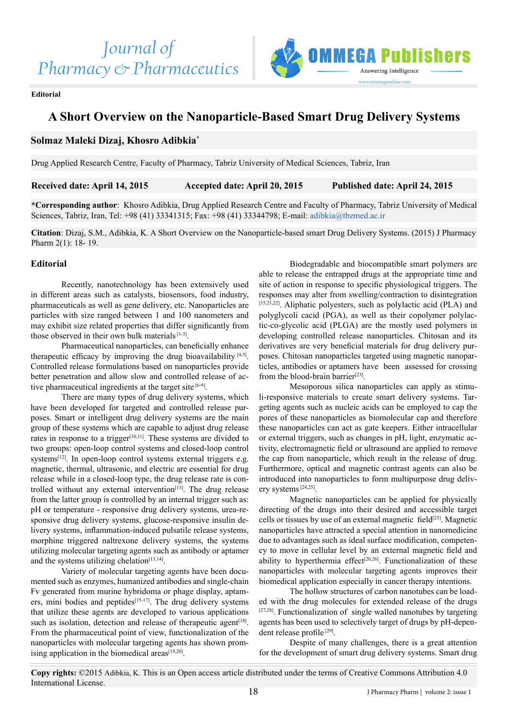

#### **Editorial**

# **A Short Overview on the Nanoparticle-Based Smart Drug Delivery Systems**

# **Solmaz Maleki Dizaj, Khosro Adibkia\***

Drug Applied Research Centre, Faculty of Pharmacy, Tabriz University of Medical Sciences, Tabriz, Iran

**Received date: April 14, 2015 Accepted date: April 20, 2015 Published date: April 24, 2015**

**\*Corresponding author**: Khosro Adibkia, Drug Applied Research Centre and Faculty of Pharmacy, Tabriz University of Medical Sciences, Tabriz, Iran, Tel: +98 (41) 33341315; Fax: +98 (41) 33344798; E-mail: [adibkia@tbzmed.ac.ir](mailto:adibkia@tbzmed.ac.ir)

**Citation**: Dizaj, S.M., Adibkia, K. A Short Overview on the Nanoparticle-based smart Drug Delivery Systems. (2015) J Pharmacy Pharm 2(1): 18- 19.

### **Editorial**

Recently, nanotechnology has been extensively used in different areas such as catalysts, biosensors, food industry, pharmaceuticals as well as gene delivery, etc. Nanoparticles are particles with size ranged between 1 and 100 nanometers and may exhibit size related properties that differ significantly from those observed in their own bulk materials [1-3].

Pharmaceutical nanoparticles, can beneficially enhance therapeutic efficacy by improving the drug bioavailability  $[4,5]$ . Controlled release formulations based on nanoparticles provide better penetration and allow slow and controlled release of active pharmaceutical ingredients at the target site [6-9].

There are many types of drug delivery systems, which have been developed for targeted and controlled release purposes. Smart or intelligent drug delivery systems are the main group of these systems which are capable to adjust drug release rates in response to a trigger<sup>[10,11]</sup>. These systems are divided to two groups: open-loop control systems and closed-loop control systems[12]. In open-loop control systems external triggers e.g. magnetic, thermal, ultrasonic, and electric are essential for drug release while in a closed-loop type, the drug release rate is controlled without any external intervention<sup>[13]</sup>. The drug release from the latter group is controlled by an internal trigger such as: pH or temperature - responsive drug delivery systems, urea-responsive drug delivery systems, glucose-responsive insulin delivery systems, inflammation-induced pulsatile release systems, morphine triggered naltrexone delivery systems, the systems utilizing molecular targeting agents such as antibody or aptamer and the systems utilizing chelation<sup>[13,14]</sup>.

Variety of molecular targeting agents have been documented such as enzymes, humanized antibodies and single-chain Fv generated from murine hybridoma or phage display, aptamers, mini bodies and peptides<sup>[15-17]</sup>. The drug delivery systems that utilize these agents are developed to various applications such as isolation, detection and release of therapeutic agent<sup>[18]</sup>. From the pharmaceutical point of view, functionalization of the nanoparticles with molecular targeting agents has shown promising application in the biomedical areas $[19,20]$ .

Biodegradable and biocompatible smart polymers are able to release the entrapped drugs at the appropriate time and site of action in response to specific physiological triggers. The responses may alter from swelling/contraction to disintegration  $[15,21,22]$ . Aliphatic polyesters, such as polylactic acid (PLA) and polyglycoli cacid (PGA), as well as their copolymer polylactic-co-glycolic acid (PLGA) are the mostly used polymers in developing controlled release nanoparticles. Chitosan and its derivatives are very beneficial materials for drug delivery purposes. Chitosan nanoparticles targeted using magnetic nanoparticles, antibodies or aptamers have been assessed for crossing from the blood-brain barrier $[23]$ .

Mesoporous silica nanoparticles can apply as stimuli-responsive materials to create smart delivery systems. Targeting agents such as nucleic acids can be employed to cap the pores of these nanoparticles as biomolecular cap and therefore these nanoparticles can act as gate keepers. Either intracellular or external triggers, such as changes in pH, light, enzymatic activity, electromagnetic field or ultrasound are applied to remove the cap from nanoparticle, which result in the release of drug. Furthermore, optical and magnetic contrast agents can also be introduced into nanoparticles to form multipurpose drug delivery systems [24,25].

Magnetic nanoparticles can be applied for physically directing of the drugs into their desired and accessible target cells or tissues by use of an external magnetic field $[23]$ . Magnetic nanoparticles have attracted a special attention in nanomedicine due to advantages such as ideal surface modification, competency to move in cellular level by an external magnetic field and ability to hyperthermia effect<sup>[20,26]</sup>. Functionalization of these nanoparticles with molecular targeting agents improves their biomedical application especially in cancer therapy intentions.

The hollow structures of carbon nanotubes can be loaded with the drug molecules for extended release of the drugs  $[27,28]$ . Functionalization of single walled nanotubes by targeting agents has been used to selectively target of drugs by pH-dependent release profile<sup>[29]</sup>.

Despite of many challenges, there is a great attention for the development of smart drug delivery systems. Smart drug

**Copy rights:** ©2015 Adibkia, K. This is an Open access article distributed under the terms of Creative Commons Attribution 4.0 International License.